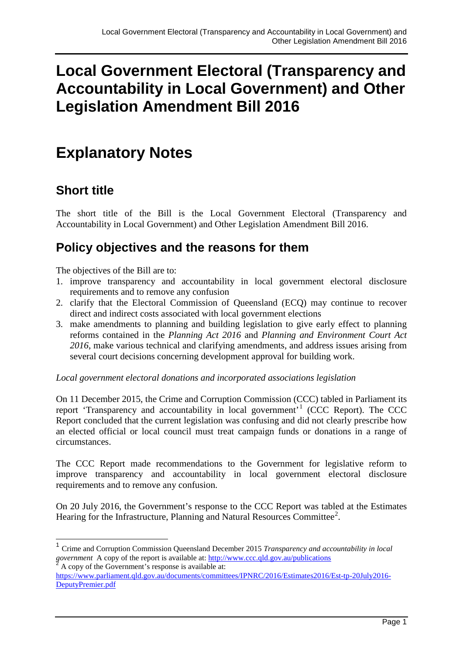# **Local Government Electoral (Transparency and Accountability in Local Government) and Other Legislation Amendment Bill 2016**

# **Explanatory Notes**

# **Short title**

The short title of the Bill is the Local Government Electoral (Transparency and Accountability in Local Government) and Other Legislation Amendment Bill 2016.

# **Policy objectives and the reasons for them**

The objectives of the Bill are to:

- 1. improve transparency and accountability in local government electoral disclosure requirements and to remove any confusion
- 2. clarify that the Electoral Commission of Queensland (ECQ) may continue to recover direct and indirect costs associated with local government elections
- 3. make amendments to planning and building legislation to give early effect to planning reforms contained in the *Planning Act 2016* and *Planning and Environment Court Act 2016*, make various technical and clarifying amendments, and address issues arising from several court decisions concerning development approval for building work.

*Local government electoral donations and incorporated associations legislation*

On 11 December 2015, the Crime and Corruption Commission (CCC) tabled in Parliament its report 'Transparency and accountability in local government'[1](#page-0-0) (CCC Report). The CCC Report concluded that the current legislation was confusing and did not clearly prescribe how an elected official or local council must treat campaign funds or donations in a range of circumstances.

The CCC Report made recommendations to the Government for legislative reform to improve transparency and accountability in local government electoral disclosure requirements and to remove any confusion.

On 20 July 2016, the Government's response to the CCC Report was tabled at the Estimates Hearing for the Infrastructure, Planning and Natural Resources Committee<sup>[2](#page-0-1)</sup>.

<span id="page-0-0"></span> <sup>1</sup> Crime and Corruption Commission Queensland December 2015 *Transparency and accountability in local government* A copy of the report is available at:<http://www.ccc.qld.gov.au/publications> <sup>2</sup> A copy of the Government's response is available at:

<span id="page-0-1"></span>[https://www.parliament.qld.gov.au/documents/committees/IPNRC/2016/Estimates2016/Est-tp-20July2016-](https://www.parliament.qld.gov.au/documents/committees/IPNRC/2016/Estimates2016/Est-tp-20July2016-DeputyPremier.pdf) [DeputyPremier.pdf](https://www.parliament.qld.gov.au/documents/committees/IPNRC/2016/Estimates2016/Est-tp-20July2016-DeputyPremier.pdf)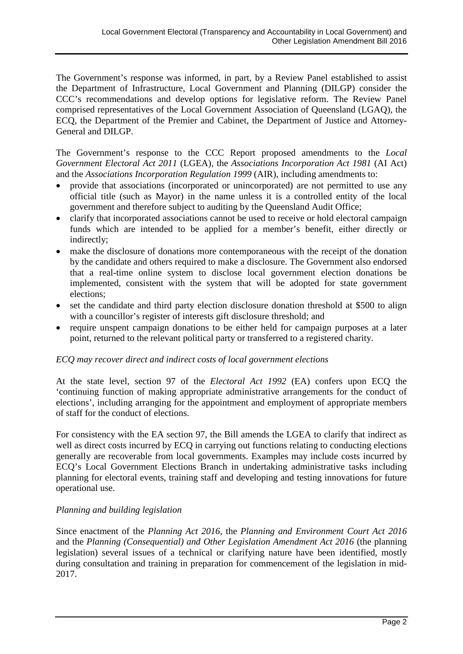The Government's response was informed, in part, by a Review Panel established to assist the Department of Infrastructure, Local Government and Planning (DILGP) consider the CCC's recommendations and develop options for legislative reform. The Review Panel comprised representatives of the Local Government Association of Queensland (LGAQ), the ECQ, the Department of the Premier and Cabinet, the Department of Justice and Attorney-General and DILGP.

The Government's response to the CCC Report proposed amendments to the *Local Government Electoral Act 2011* (LGEA), the *Associations Incorporation Act 1981* (AI Act) and the *Associations Incorporation Regulation 1999* (AIR), including amendments to:

- provide that associations (incorporated or unincorporated) are not permitted to use any official title (such as Mayor) in the name unless it is a controlled entity of the local government and therefore subject to auditing by the Queensland Audit Office;
- clarify that incorporated associations cannot be used to receive or hold electoral campaign funds which are intended to be applied for a member's benefit, either directly or indirectly;
- make the disclosure of donations more contemporaneous with the receipt of the donation by the candidate and others required to make a disclosure. The Government also endorsed that a real-time online system to disclose local government election donations be implemented, consistent with the system that will be adopted for state government elections;
- set the candidate and third party election disclosure donation threshold at \$500 to align with a councillor's register of interests gift disclosure threshold; and
- require unspent campaign donations to be either held for campaign purposes at a later point, returned to the relevant political party or transferred to a registered charity.

#### *ECQ may recover direct and indirect costs of local government elections*

At the state level, section 97 of the *Electoral Act 1992* (EA) confers upon ECQ the 'continuing function of making appropriate administrative arrangements for the conduct of elections', including arranging for the appointment and employment of appropriate members of staff for the conduct of elections.

For consistency with the EA section 97, the Bill amends the LGEA to clarify that indirect as well as direct costs incurred by ECQ in carrying out functions relating to conducting elections generally are recoverable from local governments. Examples may include costs incurred by ECQ's Local Government Elections Branch in undertaking administrative tasks including planning for electoral events, training staff and developing and testing innovations for future operational use.

#### *Planning and building legislation*

Since enactment of the *Planning Act 2016*, the *Planning and Environment Court Act 2016* and the *Planning (Consequential) and Other Legislation Amendment Act 2016* (the planning legislation) several issues of a technical or clarifying nature have been identified, mostly during consultation and training in preparation for commencement of the legislation in mid-2017.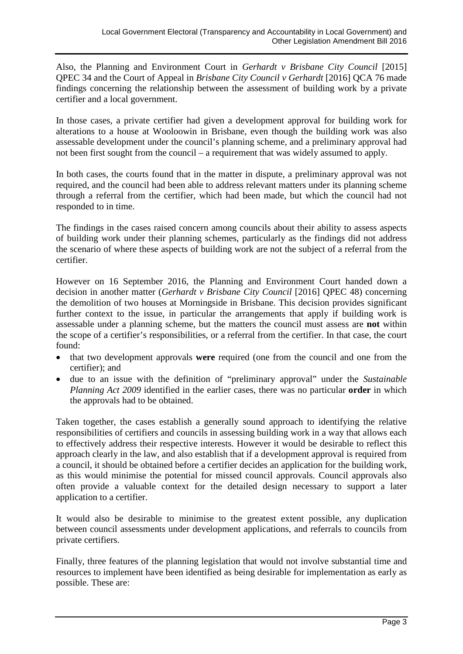Also, the Planning and Environment Court in *Gerhardt v Brisbane City Council* [2015] QPEC 34 and the Court of Appeal in *Brisbane City Council v Gerhardt* [2016] QCA 76 made findings concerning the relationship between the assessment of building work by a private certifier and a local government.

In those cases, a private certifier had given a development approval for building work for alterations to a house at Wooloowin in Brisbane, even though the building work was also assessable development under the council's planning scheme, and a preliminary approval had not been first sought from the council – a requirement that was widely assumed to apply.

In both cases, the courts found that in the matter in dispute, a preliminary approval was not required, and the council had been able to address relevant matters under its planning scheme through a referral from the certifier, which had been made, but which the council had not responded to in time.

The findings in the cases raised concern among councils about their ability to assess aspects of building work under their planning schemes, particularly as the findings did not address the scenario of where these aspects of building work are not the subject of a referral from the certifier.

However on 16 September 2016, the Planning and Environment Court handed down a decision in another matter (*Gerhardt v Brisbane City Council* [2016] QPEC 48) concerning the demolition of two houses at Morningside in Brisbane. This decision provides significant further context to the issue, in particular the arrangements that apply if building work is assessable under a planning scheme, but the matters the council must assess are **not** within the scope of a certifier's responsibilities, or a referral from the certifier. In that case, the court found:

- that two development approvals **were** required (one from the council and one from the certifier); and
- due to an issue with the definition of "preliminary approval" under the *Sustainable Planning Act 2009* identified in the earlier cases, there was no particular **order** in which the approvals had to be obtained.

Taken together, the cases establish a generally sound approach to identifying the relative responsibilities of certifiers and councils in assessing building work in a way that allows each to effectively address their respective interests. However it would be desirable to reflect this approach clearly in the law, and also establish that if a development approval is required from a council, it should be obtained before a certifier decides an application for the building work, as this would minimise the potential for missed council approvals. Council approvals also often provide a valuable context for the detailed design necessary to support a later application to a certifier.

It would also be desirable to minimise to the greatest extent possible, any duplication between council assessments under development applications, and referrals to councils from private certifiers.

Finally, three features of the planning legislation that would not involve substantial time and resources to implement have been identified as being desirable for implementation as early as possible. These are: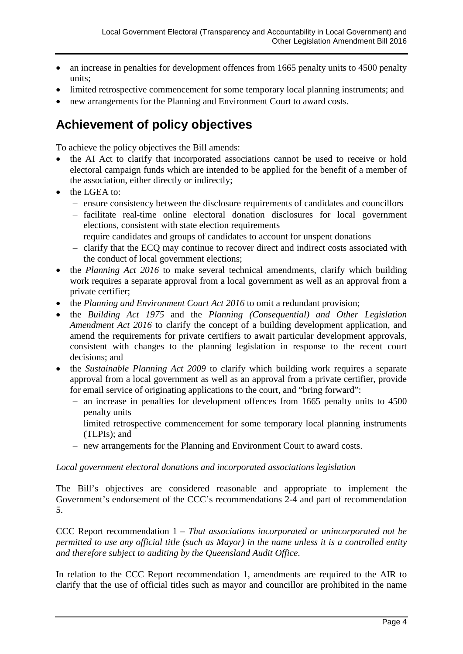- an increase in penalties for development offences from 1665 penalty units to 4500 penalty units;
- limited retrospective commencement for some temporary local planning instruments; and
- new arrangements for the Planning and Environment Court to award costs.

# **Achievement of policy objectives**

To achieve the policy objectives the Bill amends:

- the AI Act to clarify that incorporated associations cannot be used to receive or hold electoral campaign funds which are intended to be applied for the benefit of a member of the association, either directly or indirectly;
- the LGEA to:
	- − ensure consistency between the disclosure requirements of candidates and councillors
	- − facilitate real-time online electoral donation disclosures for local government elections, consistent with state election requirements
	- − require candidates and groups of candidates to account for unspent donations
	- − clarify that the ECQ may continue to recover direct and indirect costs associated with the conduct of local government elections;
- the *Planning Act 2016* to make several technical amendments, clarify which building work requires a separate approval from a local government as well as an approval from a private certifier;
- the *Planning and Environment Court Act 2016* to omit a redundant provision;
- the *Building Act 1975* and the *Planning (Consequential) and Other Legislation Amendment Act 2016* to clarify the concept of a building development application, and amend the requirements for private certifiers to await particular development approvals, consistent with changes to the planning legislation in response to the recent court decisions; and
- the *Sustainable Planning Act 2009* to clarify which building work requires a separate approval from a local government as well as an approval from a private certifier, provide for email service of originating applications to the court, and "bring forward":
	- − an increase in penalties for development offences from 1665 penalty units to 4500 penalty units
	- − limited retrospective commencement for some temporary local planning instruments (TLPIs); and
	- − new arrangements for the Planning and Environment Court to award costs.

#### *Local government electoral donations and incorporated associations legislation*

The Bill's objectives are considered reasonable and appropriate to implement the Government's endorsement of the CCC's recommendations 2-4 and part of recommendation 5.

CCC Report recommendation 1 *– That associations incorporated or unincorporated not be permitted to use any official title (such as Mayor) in the name unless it is a controlled entity and therefore subject to auditing by the Queensland Audit Office*.

In relation to the CCC Report recommendation 1, amendments are required to the AIR to clarify that the use of official titles such as mayor and councillor are prohibited in the name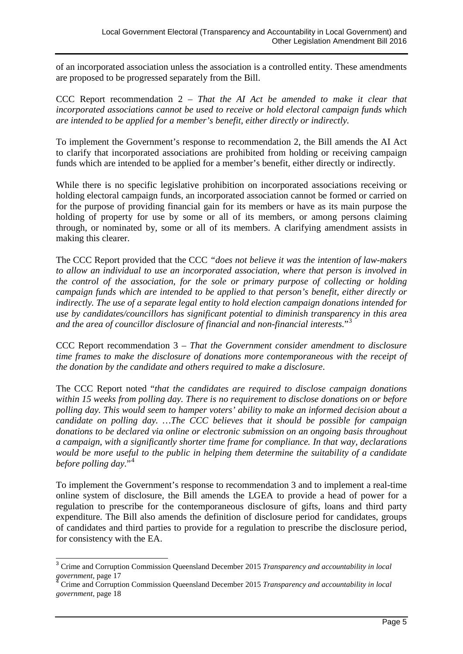of an incorporated association unless the association is a controlled entity. These amendments are proposed to be progressed separately from the Bill.

CCC Report recommendation 2 *– That the AI Act be amended to make it clear that incorporated associations cannot be used to receive or hold electoral campaign funds which are intended to be applied for a member's benefit, either directly or indirectly.*

To implement the Government's response to recommendation 2, the Bill amends the AI Act to clarify that incorporated associations are prohibited from holding or receiving campaign funds which are intended to be applied for a member's benefit, either directly or indirectly.

While there is no specific legislative prohibition on incorporated associations receiving or holding electoral campaign funds, an incorporated association cannot be formed or carried on for the purpose of providing financial gain for its members or have as its main purpose the holding of property for use by some or all of its members, or among persons claiming through, or nominated by, some or all of its members. A clarifying amendment assists in making this clearer.

The CCC Report provided that the CCC *"does not believe it was the intention of law-makers to allow an individual to use an incorporated association, where that person is involved in the control of the association, for the sole or primary purpose of collecting or holding campaign funds which are intended to be applied to that person's benefit, either directly or indirectly. The use of a separate legal entity to hold election campaign donations intended for use by candidates/councillors has significant potential to diminish transparency in this area and the area of councillor disclosure of financial and non-financial interests.*"[3](#page-4-0)

CCC Report recommendation 3 *– That the Government consider amendment to disclosure time frames to make the disclosure of donations more contemporaneous with the receipt of the donation by the candidate and others required to make a disclosure*.

The CCC Report noted "*that the candidates are required to disclose campaign donations within 15 weeks from polling day. There is no requirement to disclose donations on or before polling day. This would seem to hamper voters' ability to make an informed decision about a candidate on polling day. …The CCC believes that it should be possible for campaign donations to be declared via online or electronic submission on an ongoing basis throughout a campaign, with a significantly shorter time frame for compliance. In that way, declarations would be more useful to the public in helping them determine the suitability of a candidate before polling day*."[4](#page-4-1)

To implement the Government's response to recommendation 3 and to implement a real-time online system of disclosure, the Bill amends the LGEA to provide a head of power for a regulation to prescribe for the contemporaneous disclosure of gifts, loans and third party expenditure. The Bill also amends the definition of disclosure period for candidates, groups of candidates and third parties to provide for a regulation to prescribe the disclosure period, for consistency with the EA.

<span id="page-4-0"></span> <sup>3</sup> Crime and Corruption Commission Queensland December 2015 *Transparency and accountability in local* 

<span id="page-4-1"></span>*Grime and Corruption Commission Queensland December 2015 <i>Transparency and accountability in local government*, page 18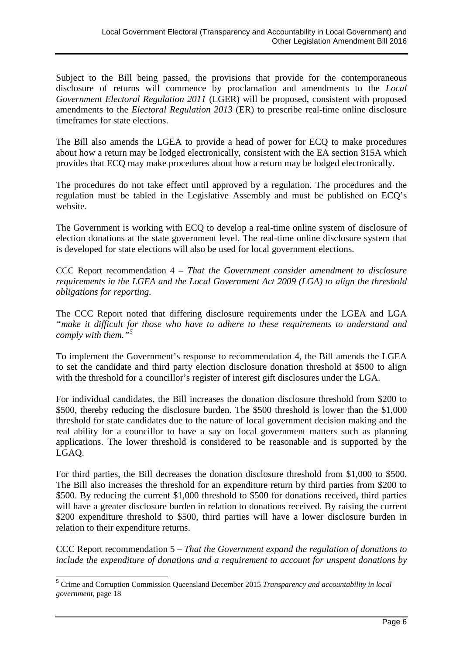Subject to the Bill being passed, the provisions that provide for the contemporaneous disclosure of returns will commence by proclamation and amendments to the *Local Government Electoral Regulation 2011* (LGER) will be proposed, consistent with proposed amendments to the *Electoral Regulation 2013* (ER) to prescribe real-time online disclosure timeframes for state elections.

The Bill also amends the LGEA to provide a head of power for ECQ to make procedures about how a return may be lodged electronically, consistent with the EA section 315A which provides that ECQ may make procedures about how a return may be lodged electronically.

The procedures do not take effect until approved by a regulation. The procedures and the regulation must be tabled in the Legislative Assembly and must be published on ECQ's website.

The Government is working with ECQ to develop a real-time online system of disclosure of election donations at the state government level. The real-time online disclosure system that is developed for state elections will also be used for local government elections.

CCC Report recommendation 4 *– That the Government consider amendment to disclosure requirements in the LGEA and the Local Government Act 2009 (LGA) to align the threshold obligations for reporting*.

The CCC Report noted that differing disclosure requirements under the LGEA and LGA *"make it difficult for those who have to adhere to these requirements to understand and comply with them."[5](#page-5-0)*

To implement the Government's response to recommendation 4, the Bill amends the LGEA to set the candidate and third party election disclosure donation threshold at \$500 to align with the threshold for a councillor's register of interest gift disclosures under the LGA.

For individual candidates, the Bill increases the donation disclosure threshold from \$200 to \$500, thereby reducing the disclosure burden. The \$500 threshold is lower than the \$1,000 threshold for state candidates due to the nature of local government decision making and the real ability for a councillor to have a say on local government matters such as planning applications. The lower threshold is considered to be reasonable and is supported by the LGAQ.

For third parties, the Bill decreases the donation disclosure threshold from \$1,000 to \$500. The Bill also increases the threshold for an expenditure return by third parties from \$200 to \$500. By reducing the current \$1,000 threshold to \$500 for donations received, third parties will have a greater disclosure burden in relation to donations received. By raising the current \$200 expenditure threshold to \$500, third parties will have a lower disclosure burden in relation to their expenditure returns.

CCC Report recommendation 5 *– That the Government expand the regulation of donations to include the expenditure of donations and a requirement to account for unspent donations by* 

<span id="page-5-0"></span> <sup>5</sup> Crime and Corruption Commission Queensland December 2015 *Transparency and accountability in local government*, page 18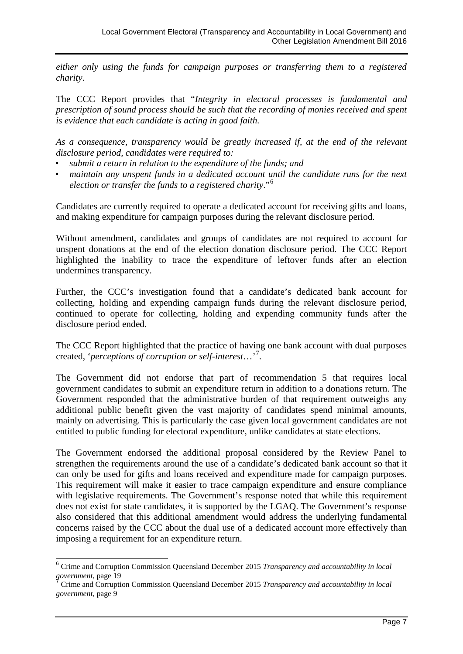*either only using the funds for campaign purposes or transferring them to a registered charity*.

The CCC Report provides that "*Integrity in electoral processes is fundamental and prescription of sound process should be such that the recording of monies received and spent is evidence that each candidate is acting in good faith.*

*As a consequence, transparency would be greatly increased if, at the end of the relevant disclosure period, candidates were required to:*

- *submit a return in relation to the expenditure of the funds; and*
- *maintain any unspent funds in a dedicated account until the candidate runs for the next election or transfer the funds to a registered charity*."[6](#page-6-0)

Candidates are currently required to operate a dedicated account for receiving gifts and loans, and making expenditure for campaign purposes during the relevant disclosure period.

Without amendment, candidates and groups of candidates are not required to account for unspent donations at the end of the election donation disclosure period. The CCC Report highlighted the inability to trace the expenditure of leftover funds after an election undermines transparency.

Further, the CCC's investigation found that a candidate's dedicated bank account for collecting, holding and expending campaign funds during the relevant disclosure period, continued to operate for collecting, holding and expending community funds after the disclosure period ended.

The CCC Report highlighted that the practice of having one bank account with dual purposes created, '*perceptions of corruption or self-interest*…'[7](#page-6-1) .

The Government did not endorse that part of recommendation 5 that requires local government candidates to submit an expenditure return in addition to a donations return. The Government responded that the administrative burden of that requirement outweighs any additional public benefit given the vast majority of candidates spend minimal amounts, mainly on advertising. This is particularly the case given local government candidates are not entitled to public funding for electoral expenditure, unlike candidates at state elections.

The Government endorsed the additional proposal considered by the Review Panel to strengthen the requirements around the use of a candidate's dedicated bank account so that it can only be used for gifts and loans received and expenditure made for campaign purposes. This requirement will make it easier to trace campaign expenditure and ensure compliance with legislative requirements. The Government's response noted that while this requirement does not exist for state candidates, it is supported by the LGAQ. The Government's response also considered that this additional amendment would address the underlying fundamental concerns raised by the CCC about the dual use of a dedicated account more effectively than imposing a requirement for an expenditure return.

<span id="page-6-0"></span> <sup>6</sup> Crime and Corruption Commission Queensland December 2015 *Transparency and accountability in local* 

<span id="page-6-1"></span>*Grime and Corruption Commission Queensland December 2015 <i>Transparency and accountability in local government*, page 9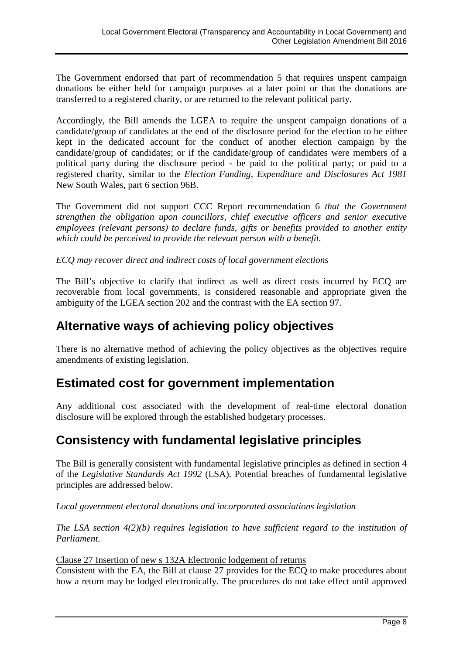The Government endorsed that part of recommendation 5 that requires unspent campaign donations be either held for campaign purposes at a later point or that the donations are transferred to a registered charity, or are returned to the relevant political party.

Accordingly, the Bill amends the LGEA to require the unspent campaign donations of a candidate/group of candidates at the end of the disclosure period for the election to be either kept in the dedicated account for the conduct of another election campaign by the candidate/group of candidates; or if the candidate/group of candidates were members of a political party during the disclosure period - be paid to the political party; or paid to a registered charity, similar to the *Election Funding, Expenditure and Disclosures Act 1981* New South Wales, part 6 section 96B.

The Government did not support CCC Report recommendation 6 *that the Government strengthen the obligation upon councillors, chief executive officers and senior executive employees (relevant persons) to declare funds, gifts or benefits provided to another entity which could be perceived to provide the relevant person with a benefit.*

*ECQ may recover direct and indirect costs of local government elections*

The Bill's objective to clarify that indirect as well as direct costs incurred by ECQ are recoverable from local governments, is considered reasonable and appropriate given the ambiguity of the LGEA section 202 and the contrast with the EA section 97.

## **Alternative ways of achieving policy objectives**

There is no alternative method of achieving the policy objectives as the objectives require amendments of existing legislation.

## **Estimated cost for government implementation**

Any additional cost associated with the development of real-time electoral donation disclosure will be explored through the established budgetary processes.

## **Consistency with fundamental legislative principles**

The Bill is generally consistent with fundamental legislative principles as defined in section 4 of the *Legislative Standards Act 1992* (LSA). Potential breaches of fundamental legislative principles are addressed below.

*Local government electoral donations and incorporated associations legislation*

*The LSA section 4(2)(b) requires legislation to have sufficient regard to the institution of Parliament*.

Clause 27 Insertion of new s 132A Electronic lodgement of returns

Consistent with the EA, the Bill at clause 27 provides for the ECQ to make procedures about how a return may be lodged electronically. The procedures do not take effect until approved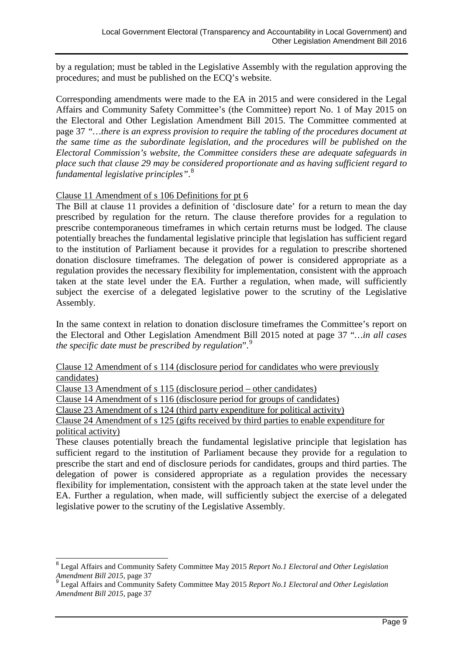by a regulation; must be tabled in the Legislative Assembly with the regulation approving the procedures; and must be published on the ECQ's website.

Corresponding amendments were made to the EA in 2015 and were considered in the Legal Affairs and Community Safety Committee's (the Committee) report No. 1 of May 2015 on the Electoral and Other Legislation Amendment Bill 2015. The Committee commented at page 37 *"…there is an express provision to require the tabling of the procedures document at the same time as the subordinate legislation, and the procedures will be published on the Electoral Commission's website, the Committee considers these are adequate safeguards in place such that clause 29 may be considered proportionate and as having sufficient regard to fundamental legislative principles"*. [8](#page-8-0)

#### Clause 11 Amendment of s 106 Definitions for pt 6

The Bill at clause 11 provides a definition of 'disclosure date' for a return to mean the day prescribed by regulation for the return. The clause therefore provides for a regulation to prescribe contemporaneous timeframes in which certain returns must be lodged. The clause potentially breaches the fundamental legislative principle that legislation has sufficient regard to the institution of Parliament because it provides for a regulation to prescribe shortened donation disclosure timeframes. The delegation of power is considered appropriate as a regulation provides the necessary flexibility for implementation, consistent with the approach taken at the state level under the EA. Further a regulation, when made, will sufficiently subject the exercise of a delegated legislative power to the scrutiny of the Legislative Assembly.

In the same context in relation to donation disclosure timeframes the Committee's report on the Electoral and Other Legislation Amendment Bill 2015 noted at page 37 "*…in all cases the specific date must be prescribed by regulation*".[9](#page-8-1)

Clause 12 Amendment of s 114 (disclosure period for candidates who were previously candidates)

Clause 13 Amendment of s 115 (disclosure period – other candidates)

Clause 14 Amendment of s 116 (disclosure period for groups of candidates)

Clause 23 Amendment of s 124 (third party expenditure for political activity)

Clause 24 Amendment of s 125 (gifts received by third parties to enable expenditure for political activity)

These clauses potentially breach the fundamental legislative principle that legislation has sufficient regard to the institution of Parliament because they provide for a regulation to prescribe the start and end of disclosure periods for candidates, groups and third parties. The delegation of power is considered appropriate as a regulation provides the necessary flexibility for implementation, consistent with the approach taken at the state level under the EA. Further a regulation, when made, will sufficiently subject the exercise of a delegated legislative power to the scrutiny of the Legislative Assembly.

<span id="page-8-0"></span> <sup>8</sup> Legal Affairs and Community Safety Committee May 2015 *Report No.1 Electoral and Other Legislation* 

<span id="page-8-1"></span>*Amendment Bill 2015*, page 37 <sup>9</sup> Legal Affairs and Community Safety Committee May 2015 *Report No.1 Electoral and Other Legislation Amendment Bill 2015*, page 37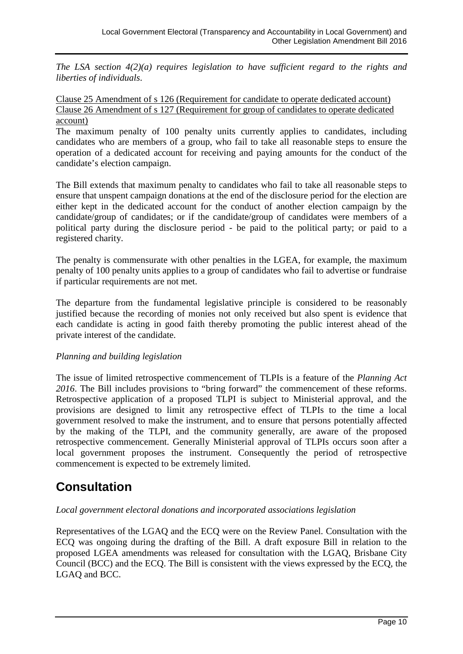*The LSA section 4(2)(a) requires legislation to have sufficient regard to the rights and liberties of individuals*.

#### Clause 25 Amendment of s 126 (Requirement for candidate to operate dedicated account) Clause 26 Amendment of s 127 (Requirement for group of candidates to operate dedicated account)

The maximum penalty of 100 penalty units currently applies to candidates, including candidates who are members of a group, who fail to take all reasonable steps to ensure the operation of a dedicated account for receiving and paying amounts for the conduct of the candidate's election campaign.

The Bill extends that maximum penalty to candidates who fail to take all reasonable steps to ensure that unspent campaign donations at the end of the disclosure period for the election are either kept in the dedicated account for the conduct of another election campaign by the candidate/group of candidates; or if the candidate/group of candidates were members of a political party during the disclosure period - be paid to the political party; or paid to a registered charity.

The penalty is commensurate with other penalties in the LGEA, for example, the maximum penalty of 100 penalty units applies to a group of candidates who fail to advertise or fundraise if particular requirements are not met.

The departure from the fundamental legislative principle is considered to be reasonably justified because the recording of monies not only received but also spent is evidence that each candidate is acting in good faith thereby promoting the public interest ahead of the private interest of the candidate.

#### *Planning and building legislation*

The issue of limited retrospective commencement of TLPIs is a feature of the *Planning Act 2016*. The Bill includes provisions to "bring forward" the commencement of these reforms. Retrospective application of a proposed TLPI is subject to Ministerial approval, and the provisions are designed to limit any retrospective effect of TLPIs to the time a local government resolved to make the instrument, and to ensure that persons potentially affected by the making of the TLPI, and the community generally, are aware of the proposed retrospective commencement. Generally Ministerial approval of TLPIs occurs soon after a local government proposes the instrument. Consequently the period of retrospective commencement is expected to be extremely limited.

# **Consultation**

## *Local government electoral donations and incorporated associations legislation*

Representatives of the LGAQ and the ECQ were on the Review Panel. Consultation with the ECQ was ongoing during the drafting of the Bill. A draft exposure Bill in relation to the proposed LGEA amendments was released for consultation with the LGAQ, Brisbane City Council (BCC) and the ECQ. The Bill is consistent with the views expressed by the ECQ, the LGAQ and BCC.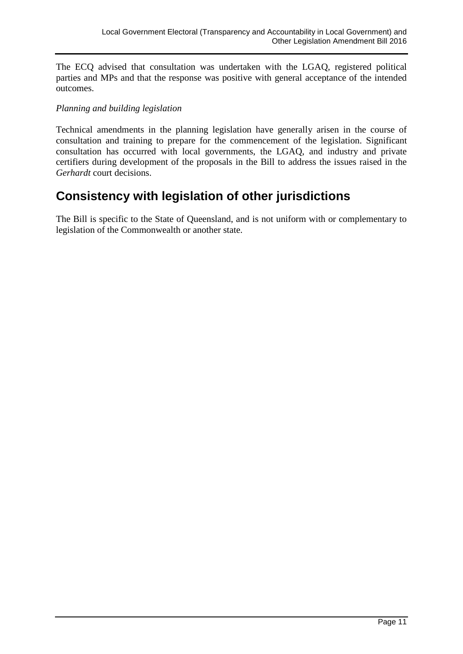The ECQ advised that consultation was undertaken with the LGAQ, registered political parties and MPs and that the response was positive with general acceptance of the intended outcomes.

#### *Planning and building legislation*

Technical amendments in the planning legislation have generally arisen in the course of consultation and training to prepare for the commencement of the legislation. Significant consultation has occurred with local governments, the LGAQ, and industry and private certifiers during development of the proposals in the Bill to address the issues raised in the *Gerhardt* court decisions.

# **Consistency with legislation of other jurisdictions**

The Bill is specific to the State of Queensland, and is not uniform with or complementary to legislation of the Commonwealth or another state.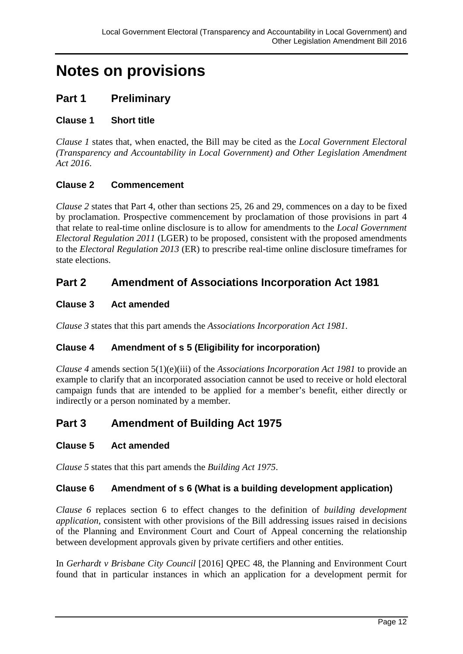# **Notes on provisions**

## **Part 1 Preliminary**

## **Clause 1 Short title**

*Clause 1* states that, when enacted, the Bill may be cited as the *Local Government Electoral (Transparency and Accountability in Local Government) and Other Legislation Amendment Act 2016*.

## **Clause 2 Commencement**

*Clause 2* states that Part 4, other than sections 25, 26 and 29, commences on a day to be fixed by proclamation. Prospective commencement by proclamation of those provisions in part 4 that relate to real-time online disclosure is to allow for amendments to the *Local Government Electoral Regulation 2011* (LGER) to be proposed, consistent with the proposed amendments to the *Electoral Regulation 2013* (ER) to prescribe real-time online disclosure timeframes for state elections.

## **Part 2 Amendment of Associations Incorporation Act 1981**

## **Clause 3 Act amended**

*Clause 3* states that this part amends the *Associations Incorporation Act 1981*.

## **Clause 4 Amendment of s 5 (Eligibility for incorporation)**

*Clause 4* amends section 5(1)(e)(iii) of the *Associations Incorporation Act 1981* to provide an example to clarify that an incorporated association cannot be used to receive or hold electoral campaign funds that are intended to be applied for a member's benefit, either directly or indirectly or a person nominated by a member.

## **Part 3 Amendment of Building Act 1975**

#### **Clause 5 Act amended**

*Clause 5* states that this part amends the *Building Act 1975*.

#### **Clause 6 Amendment of s 6 (What is a building development application)**

*Clause 6* replaces section 6 to effect changes to the definition of *building development application*, consistent with other provisions of the Bill addressing issues raised in decisions of the Planning and Environment Court and Court of Appeal concerning the relationship between development approvals given by private certifiers and other entities.

In *Gerhardt v Brisbane City Council* [2016] QPEC 48, the Planning and Environment Court found that in particular instances in which an application for a development permit for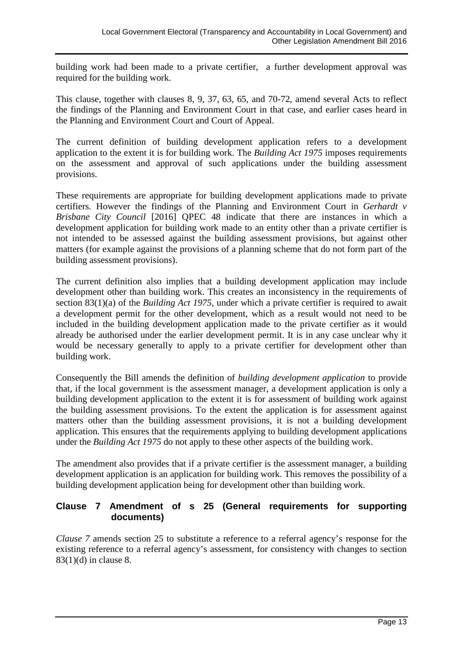building work had been made to a private certifier, a further development approval was required for the building work.

This clause, together with clauses 8, 9, 37, 63, 65, and 70-72, amend several Acts to reflect the findings of the Planning and Environment Court in that case, and earlier cases heard in the Planning and Environment Court and Court of Appeal.

The current definition of building development application refers to a development application to the extent it is for building work. The *Building Act 1975* imposes requirements on the assessment and approval of such applications under the building assessment provisions.

These requirements are appropriate for building development applications made to private certifiers. However the findings of the Planning and Environment Court in *Gerhardt v Brisbane City Council* [2016] QPEC 48 indicate that there are instances in which a development application for building work made to an entity other than a private certifier is not intended to be assessed against the building assessment provisions, but against other matters (for example against the provisions of a planning scheme that do not form part of the building assessment provisions).

The current definition also implies that a building development application may include development other than building work. This creates an inconsistency in the requirements of section 83(1)(a) of the *Building Act 1975*, under which a private certifier is required to await a development permit for the other development, which as a result would not need to be included in the building development application made to the private certifier as it would already be authorised under the earlier development permit. It is in any case unclear why it would be necessary generally to apply to a private certifier for development other than building work.

Consequently the Bill amends the definition of *building development application* to provide that, if the local government is the assessment manager, a development application is only a building development application to the extent it is for assessment of building work against the building assessment provisions. To the extent the application is for assessment against matters other than the building assessment provisions, it is not a building development application. This ensures that the requirements applying to building development applications under the *Building Act 1975* do not apply to these other aspects of the building work.

The amendment also provides that if a private certifier is the assessment manager, a building development application is an application for building work. This removes the possibility of a building development application being for development other than building work.

## **Clause 7 Amendment of s 25 (General requirements for supporting documents)**

*Clause 7* amends section 25 to substitute a reference to a referral agency's response for the existing reference to a referral agency's assessment, for consistency with changes to section 83(1)(d) in clause 8.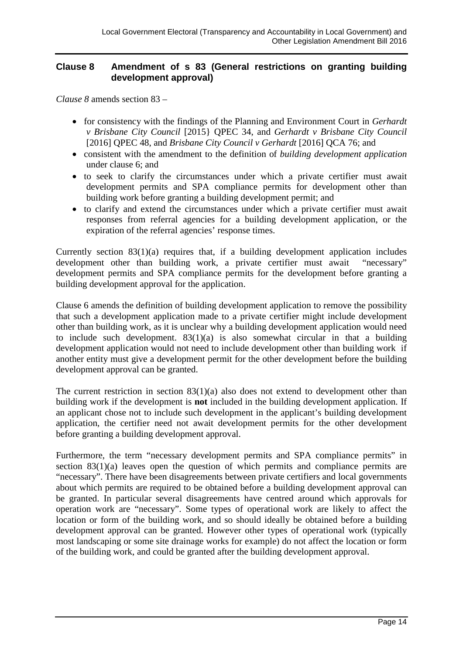#### **Clause 8 Amendment of s 83 (General restrictions on granting building development approval)**

*Clause 8* amends section 83 –

- for consistency with the findings of the Planning and Environment Court in *Gerhardt v Brisbane City Council* [2015} QPEC 34, and *Gerhardt v Brisbane City Council*  [2016] QPEC 48, and *Brisbane City Council v Gerhardt* [2016] QCA 76; and
- consistent with the amendment to the definition of *building development application* under clause 6; and
- to seek to clarify the circumstances under which a private certifier must await development permits and SPA compliance permits for development other than building work before granting a building development permit; and
- to clarify and extend the circumstances under which a private certifier must await responses from referral agencies for a building development application, or the expiration of the referral agencies' response times.

Currently section 83(1)(a) requires that, if a building development application includes development other than building work, a private certifier must await "necessary" development permits and SPA compliance permits for the development before granting a building development approval for the application.

Clause 6 amends the definition of building development application to remove the possibility that such a development application made to a private certifier might include development other than building work, as it is unclear why a building development application would need to include such development.  $83(1)(a)$  is also somewhat circular in that a building development application would not need to include development other than building work if another entity must give a development permit for the other development before the building development approval can be granted.

The current restriction in section  $83(1)(a)$  also does not extend to development other than building work if the development is **not** included in the building development application. If an applicant chose not to include such development in the applicant's building development application, the certifier need not await development permits for the other development before granting a building development approval.

Furthermore, the term "necessary development permits and SPA compliance permits" in section 83(1)(a) leaves open the question of which permits and compliance permits are "necessary". There have been disagreements between private certifiers and local governments about which permits are required to be obtained before a building development approval can be granted. In particular several disagreements have centred around which approvals for operation work are "necessary". Some types of operational work are likely to affect the location or form of the building work, and so should ideally be obtained before a building development approval can be granted. However other types of operational work (typically most landscaping or some site drainage works for example) do not affect the location or form of the building work, and could be granted after the building development approval.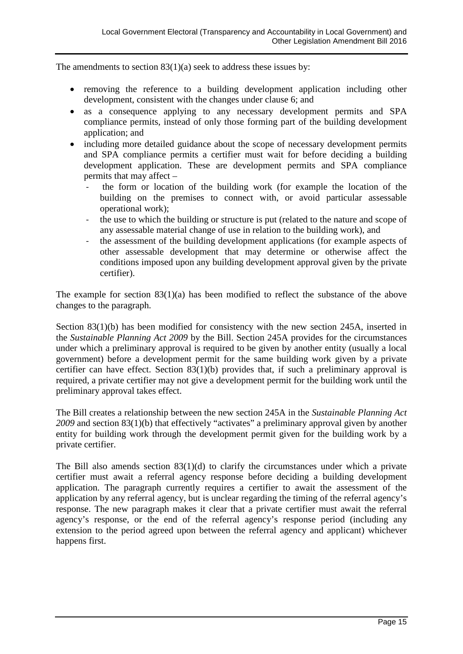The amendments to section 83(1)(a) seek to address these issues by:

- removing the reference to a building development application including other development, consistent with the changes under clause 6; and
- as a consequence applying to any necessary development permits and SPA compliance permits, instead of only those forming part of the building development application; and
- including more detailed guidance about the scope of necessary development permits and SPA compliance permits a certifier must wait for before deciding a building development application. These are development permits and SPA compliance permits that may affect –
	- the form or location of the building work (for example the location of the building on the premises to connect with, or avoid particular assessable operational work);
	- the use to which the building or structure is put (related to the nature and scope of any assessable material change of use in relation to the building work), and
	- the assessment of the building development applications (for example aspects of other assessable development that may determine or otherwise affect the conditions imposed upon any building development approval given by the private certifier).

The example for section 83(1)(a) has been modified to reflect the substance of the above changes to the paragraph.

Section 83(1)(b) has been modified for consistency with the new section 245A, inserted in the *Sustainable Planning Act 2009* by the Bill. Section 245A provides for the circumstances under which a preliminary approval is required to be given by another entity (usually a local government) before a development permit for the same building work given by a private certifier can have effect. Section 83(1)(b) provides that, if such a preliminary approval is required, a private certifier may not give a development permit for the building work until the preliminary approval takes effect.

The Bill creates a relationship between the new section 245A in the *Sustainable Planning Act 2009* and section 83(1)(b) that effectively "activates" a preliminary approval given by another entity for building work through the development permit given for the building work by a private certifier.

The Bill also amends section 83(1)(d) to clarify the circumstances under which a private certifier must await a referral agency response before deciding a building development application. The paragraph currently requires a certifier to await the assessment of the application by any referral agency, but is unclear regarding the timing of the referral agency's response. The new paragraph makes it clear that a private certifier must await the referral agency's response, or the end of the referral agency's response period (including any extension to the period agreed upon between the referral agency and applicant) whichever happens first.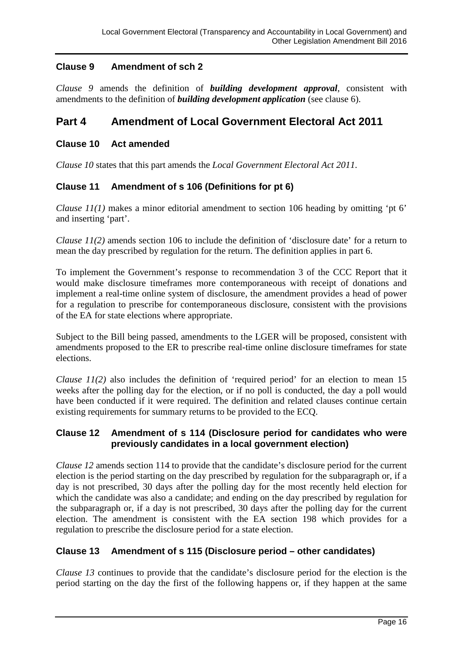## **Clause 9 Amendment of sch 2**

*Clause 9* amends the definition of *building development approval*, consistent with amendments to the definition of *building development application* (see clause 6).

## **Part 4 Amendment of Local Government Electoral Act 2011**

#### **Clause 10 Act amended**

*Clause 10* states that this part amends the *Local Government Electoral Act 2011*.

## **Clause 11 Amendment of s 106 (Definitions for pt 6)**

*Clause 11(1)* makes a minor editorial amendment to section 106 heading by omitting 'pt 6' and inserting 'part'.

*Clause 11(2)* amends section 106 to include the definition of 'disclosure date' for a return to mean the day prescribed by regulation for the return. The definition applies in part 6.

To implement the Government's response to recommendation 3 of the CCC Report that it would make disclosure timeframes more contemporaneous with receipt of donations and implement a real-time online system of disclosure, the amendment provides a head of power for a regulation to prescribe for contemporaneous disclosure, consistent with the provisions of the EA for state elections where appropriate.

Subject to the Bill being passed, amendments to the LGER will be proposed, consistent with amendments proposed to the ER to prescribe real-time online disclosure timeframes for state elections.

*Clause 11(2)* also includes the definition of 'required period' for an election to mean 15 weeks after the polling day for the election, or if no poll is conducted, the day a poll would have been conducted if it were required. The definition and related clauses continue certain existing requirements for summary returns to be provided to the ECQ.

#### **Clause 12 Amendment of s 114 (Disclosure period for candidates who were previously candidates in a local government election)**

*Clause 12* amends section 114 to provide that the candidate's disclosure period for the current election is the period starting on the day prescribed by regulation for the subparagraph or, if a day is not prescribed, 30 days after the polling day for the most recently held election for which the candidate was also a candidate; and ending on the day prescribed by regulation for the subparagraph or, if a day is not prescribed, 30 days after the polling day for the current election. The amendment is consistent with the EA section 198 which provides for a regulation to prescribe the disclosure period for a state election.

#### **Clause 13 Amendment of s 115 (Disclosure period – other candidates)**

*Clause 13* continues to provide that the candidate's disclosure period for the election is the period starting on the day the first of the following happens or, if they happen at the same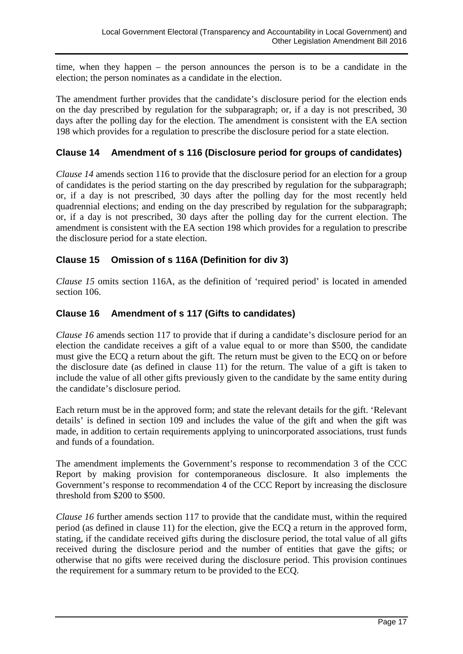time, when they happen – the person announces the person is to be a candidate in the election; the person nominates as a candidate in the election.

The amendment further provides that the candidate's disclosure period for the election ends on the day prescribed by regulation for the subparagraph; or, if a day is not prescribed, 30 days after the polling day for the election. The amendment is consistent with the EA section 198 which provides for a regulation to prescribe the disclosure period for a state election.

#### **Clause 14 Amendment of s 116 (Disclosure period for groups of candidates)**

*Clause 14* amends section 116 to provide that the disclosure period for an election for a group of candidates is the period starting on the day prescribed by regulation for the subparagraph; or, if a day is not prescribed, 30 days after the polling day for the most recently held quadrennial elections; and ending on the day prescribed by regulation for the subparagraph; or, if a day is not prescribed, 30 days after the polling day for the current election. The amendment is consistent with the EA section 198 which provides for a regulation to prescribe the disclosure period for a state election.

#### **Clause 15 Omission of s 116A (Definition for div 3)**

*Clause 15* omits section 116A, as the definition of 'required period' is located in amended section 106.

#### **Clause 16 Amendment of s 117 (Gifts to candidates)**

*Clause 16* amends section 117 to provide that if during a candidate's disclosure period for an election the candidate receives a gift of a value equal to or more than \$500, the candidate must give the ECQ a return about the gift. The return must be given to the ECQ on or before the disclosure date (as defined in clause 11) for the return. The value of a gift is taken to include the value of all other gifts previously given to the candidate by the same entity during the candidate's disclosure period.

Each return must be in the approved form; and state the relevant details for the gift. 'Relevant details' is defined in section 109 and includes the value of the gift and when the gift was made, in addition to certain requirements applying to unincorporated associations, trust funds and funds of a foundation.

The amendment implements the Government's response to recommendation 3 of the CCC Report by making provision for contemporaneous disclosure. It also implements the Government's response to recommendation 4 of the CCC Report by increasing the disclosure threshold from \$200 to \$500.

*Clause 16* further amends section 117 to provide that the candidate must, within the required period (as defined in clause 11) for the election, give the ECQ a return in the approved form, stating, if the candidate received gifts during the disclosure period, the total value of all gifts received during the disclosure period and the number of entities that gave the gifts; or otherwise that no gifts were received during the disclosure period. This provision continues the requirement for a summary return to be provided to the ECQ.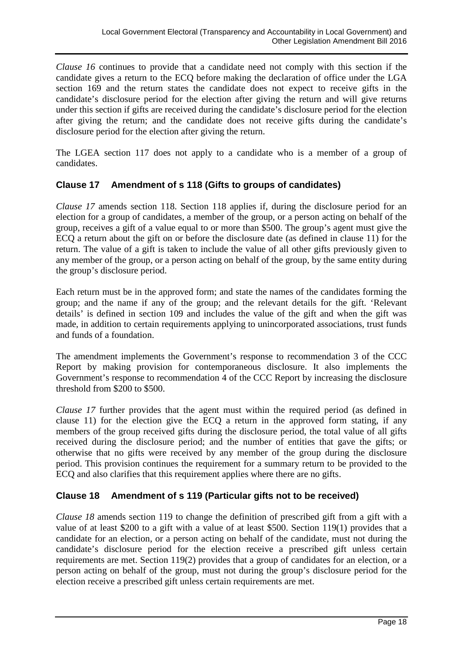*Clause 16* continues to provide that a candidate need not comply with this section if the candidate gives a return to the ECQ before making the declaration of office under the LGA section 169 and the return states the candidate does not expect to receive gifts in the candidate's disclosure period for the election after giving the return and will give returns under this section if gifts are received during the candidate's disclosure period for the election after giving the return; and the candidate does not receive gifts during the candidate's disclosure period for the election after giving the return.

The LGEA section 117 does not apply to a candidate who is a member of a group of candidates.

## **Clause 17 Amendment of s 118 (Gifts to groups of candidates)**

*Clause 17* amends section 118. Section 118 applies if, during the disclosure period for an election for a group of candidates, a member of the group, or a person acting on behalf of the group, receives a gift of a value equal to or more than \$500. The group's agent must give the ECQ a return about the gift on or before the disclosure date (as defined in clause 11) for the return. The value of a gift is taken to include the value of all other gifts previously given to any member of the group, or a person acting on behalf of the group, by the same entity during the group's disclosure period.

Each return must be in the approved form; and state the names of the candidates forming the group; and the name if any of the group; and the relevant details for the gift. 'Relevant details' is defined in section 109 and includes the value of the gift and when the gift was made, in addition to certain requirements applying to unincorporated associations, trust funds and funds of a foundation.

The amendment implements the Government's response to recommendation 3 of the CCC Report by making provision for contemporaneous disclosure. It also implements the Government's response to recommendation 4 of the CCC Report by increasing the disclosure threshold from \$200 to \$500.

*Clause 17* further provides that the agent must within the required period (as defined in clause 11) for the election give the ECQ a return in the approved form stating, if any members of the group received gifts during the disclosure period, the total value of all gifts received during the disclosure period; and the number of entities that gave the gifts; or otherwise that no gifts were received by any member of the group during the disclosure period. This provision continues the requirement for a summary return to be provided to the ECQ and also clarifies that this requirement applies where there are no gifts.

#### **Clause 18 Amendment of s 119 (Particular gifts not to be received)**

*Clause 18* amends section 119 to change the definition of prescribed gift from a gift with a value of at least \$200 to a gift with a value of at least \$500. Section 119(1) provides that a candidate for an election, or a person acting on behalf of the candidate, must not during the candidate's disclosure period for the election receive a prescribed gift unless certain requirements are met. Section 119(2) provides that a group of candidates for an election, or a person acting on behalf of the group, must not during the group's disclosure period for the election receive a prescribed gift unless certain requirements are met.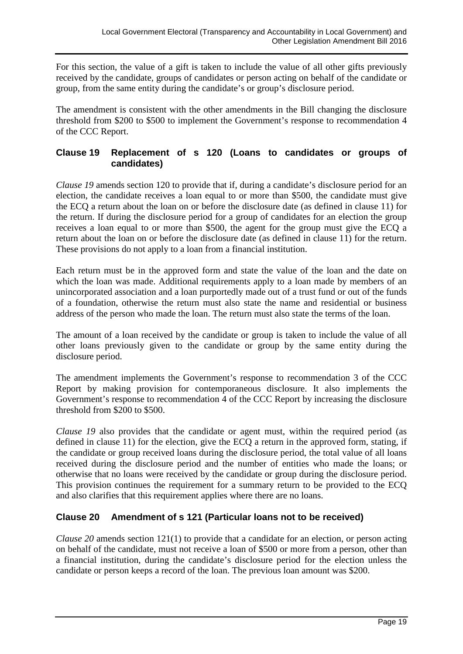For this section, the value of a gift is taken to include the value of all other gifts previously received by the candidate, groups of candidates or person acting on behalf of the candidate or group, from the same entity during the candidate's or group's disclosure period.

The amendment is consistent with the other amendments in the Bill changing the disclosure threshold from \$200 to \$500 to implement the Government's response to recommendation 4 of the CCC Report.

## **Clause 19 Replacement of s 120 (Loans to candidates or groups of candidates)**

*Clause 19* amends section 120 to provide that if, during a candidate's disclosure period for an election, the candidate receives a loan equal to or more than \$500, the candidate must give the ECQ a return about the loan on or before the disclosure date (as defined in clause 11) for the return. If during the disclosure period for a group of candidates for an election the group receives a loan equal to or more than \$500, the agent for the group must give the ECQ a return about the loan on or before the disclosure date (as defined in clause 11) for the return. These provisions do not apply to a loan from a financial institution.

Each return must be in the approved form and state the value of the loan and the date on which the loan was made. Additional requirements apply to a loan made by members of an unincorporated association and a loan purportedly made out of a trust fund or out of the funds of a foundation, otherwise the return must also state the name and residential or business address of the person who made the loan. The return must also state the terms of the loan.

The amount of a loan received by the candidate or group is taken to include the value of all other loans previously given to the candidate or group by the same entity during the disclosure period.

The amendment implements the Government's response to recommendation 3 of the CCC Report by making provision for contemporaneous disclosure. It also implements the Government's response to recommendation 4 of the CCC Report by increasing the disclosure threshold from \$200 to \$500.

*Clause 19* also provides that the candidate or agent must, within the required period (as defined in clause 11) for the election, give the ECQ a return in the approved form, stating, if the candidate or group received loans during the disclosure period, the total value of all loans received during the disclosure period and the number of entities who made the loans; or otherwise that no loans were received by the candidate or group during the disclosure period. This provision continues the requirement for a summary return to be provided to the ECQ and also clarifies that this requirement applies where there are no loans.

## **Clause 20 Amendment of s 121 (Particular loans not to be received)**

*Clause 20* amends section 121(1) to provide that a candidate for an election, or person acting on behalf of the candidate, must not receive a loan of \$500 or more from a person, other than a financial institution, during the candidate's disclosure period for the election unless the candidate or person keeps a record of the loan. The previous loan amount was \$200.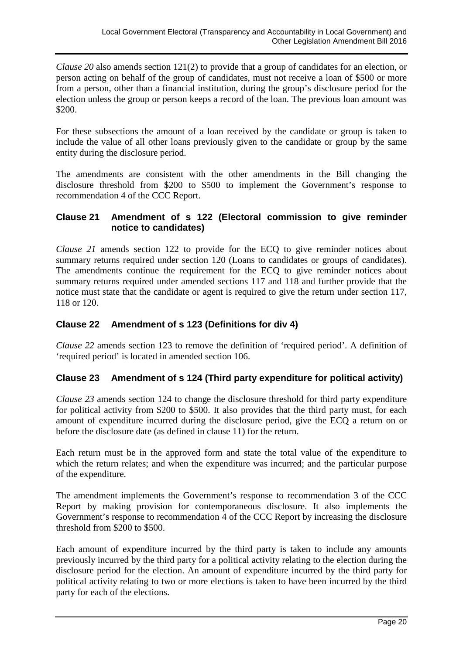*Clause 20* also amends section 121(2) to provide that a group of candidates for an election, or person acting on behalf of the group of candidates, must not receive a loan of \$500 or more from a person, other than a financial institution, during the group's disclosure period for the election unless the group or person keeps a record of the loan. The previous loan amount was \$200.

For these subsections the amount of a loan received by the candidate or group is taken to include the value of all other loans previously given to the candidate or group by the same entity during the disclosure period.

The amendments are consistent with the other amendments in the Bill changing the disclosure threshold from \$200 to \$500 to implement the Government's response to recommendation 4 of the CCC Report.

#### **Clause 21 Amendment of s 122 (Electoral commission to give reminder notice to candidates)**

*Clause 21* amends section 122 to provide for the ECQ to give reminder notices about summary returns required under section 120 (Loans to candidates or groups of candidates). The amendments continue the requirement for the ECQ to give reminder notices about summary returns required under amended sections 117 and 118 and further provide that the notice must state that the candidate or agent is required to give the return under section 117, 118 or 120.

## **Clause 22 Amendment of s 123 (Definitions for div 4)**

*Clause 22* amends section 123 to remove the definition of 'required period'. A definition of 'required period' is located in amended section 106.

#### **Clause 23 Amendment of s 124 (Third party expenditure for political activity)**

*Clause 23* amends section 124 to change the disclosure threshold for third party expenditure for political activity from \$200 to \$500. It also provides that the third party must, for each amount of expenditure incurred during the disclosure period, give the ECQ a return on or before the disclosure date (as defined in clause 11) for the return.

Each return must be in the approved form and state the total value of the expenditure to which the return relates; and when the expenditure was incurred; and the particular purpose of the expenditure.

The amendment implements the Government's response to recommendation 3 of the CCC Report by making provision for contemporaneous disclosure. It also implements the Government's response to recommendation 4 of the CCC Report by increasing the disclosure threshold from \$200 to \$500.

Each amount of expenditure incurred by the third party is taken to include any amounts previously incurred by the third party for a political activity relating to the election during the disclosure period for the election. An amount of expenditure incurred by the third party for political activity relating to two or more elections is taken to have been incurred by the third party for each of the elections.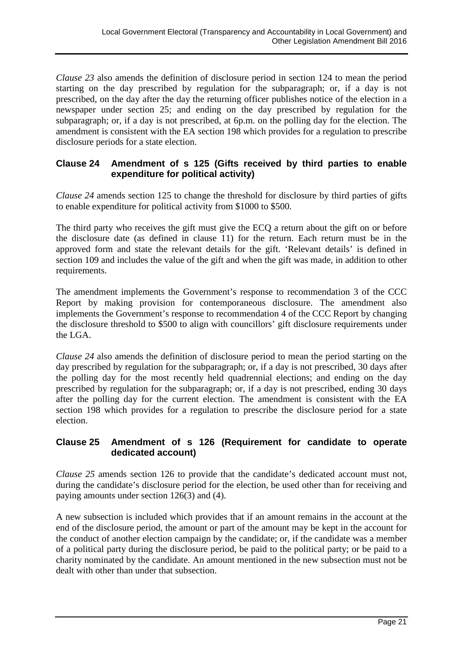*Clause 23* also amends the definition of disclosure period in section 124 to mean the period starting on the day prescribed by regulation for the subparagraph; or, if a day is not prescribed, on the day after the day the returning officer publishes notice of the election in a newspaper under section 25; and ending on the day prescribed by regulation for the subparagraph; or, if a day is not prescribed, at 6p.m. on the polling day for the election. The amendment is consistent with the EA section 198 which provides for a regulation to prescribe disclosure periods for a state election.

## **Clause 24 Amendment of s 125 (Gifts received by third parties to enable expenditure for political activity)**

*Clause 24* amends section 125 to change the threshold for disclosure by third parties of gifts to enable expenditure for political activity from \$1000 to \$500.

The third party who receives the gift must give the ECQ a return about the gift on or before the disclosure date (as defined in clause 11) for the return. Each return must be in the approved form and state the relevant details for the gift. 'Relevant details' is defined in section 109 and includes the value of the gift and when the gift was made, in addition to other requirements.

The amendment implements the Government's response to recommendation 3 of the CCC Report by making provision for contemporaneous disclosure. The amendment also implements the Government's response to recommendation 4 of the CCC Report by changing the disclosure threshold to \$500 to align with councillors' gift disclosure requirements under the LGA.

*Clause 24* also amends the definition of disclosure period to mean the period starting on the day prescribed by regulation for the subparagraph; or, if a day is not prescribed, 30 days after the polling day for the most recently held quadrennial elections; and ending on the day prescribed by regulation for the subparagraph; or, if a day is not prescribed, ending 30 days after the polling day for the current election. The amendment is consistent with the EA section 198 which provides for a regulation to prescribe the disclosure period for a state election.

## **Clause 25 Amendment of s 126 (Requirement for candidate to operate dedicated account)**

*Clause 25* amends section 126 to provide that the candidate's dedicated account must not, during the candidate's disclosure period for the election, be used other than for receiving and paying amounts under section 126(3) and (4).

A new subsection is included which provides that if an amount remains in the account at the end of the disclosure period, the amount or part of the amount may be kept in the account for the conduct of another election campaign by the candidate; or, if the candidate was a member of a political party during the disclosure period, be paid to the political party; or be paid to a charity nominated by the candidate. An amount mentioned in the new subsection must not be dealt with other than under that subsection.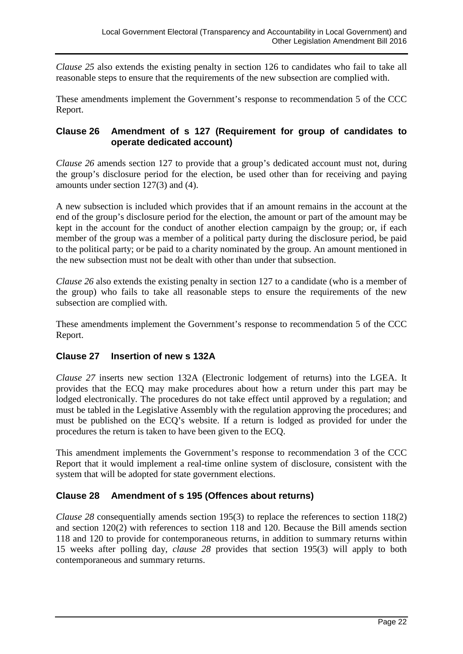*Clause 25* also extends the existing penalty in section 126 to candidates who fail to take all reasonable steps to ensure that the requirements of the new subsection are complied with.

These amendments implement the Government's response to recommendation 5 of the CCC Report.

#### **Clause 26 Amendment of s 127 (Requirement for group of candidates to operate dedicated account)**

*Clause 26* amends section 127 to provide that a group's dedicated account must not, during the group's disclosure period for the election, be used other than for receiving and paying amounts under section 127(3) and (4).

A new subsection is included which provides that if an amount remains in the account at the end of the group's disclosure period for the election, the amount or part of the amount may be kept in the account for the conduct of another election campaign by the group; or, if each member of the group was a member of a political party during the disclosure period, be paid to the political party; or be paid to a charity nominated by the group. An amount mentioned in the new subsection must not be dealt with other than under that subsection.

*Clause 26* also extends the existing penalty in section 127 to a candidate (who is a member of the group) who fails to take all reasonable steps to ensure the requirements of the new subsection are complied with.

These amendments implement the Government's response to recommendation 5 of the CCC Report.

## **Clause 27 Insertion of new s 132A**

*Clause 27* inserts new section 132A (Electronic lodgement of returns) into the LGEA. It provides that the ECQ may make procedures about how a return under this part may be lodged electronically. The procedures do not take effect until approved by a regulation; and must be tabled in the Legislative Assembly with the regulation approving the procedures; and must be published on the ECQ's website. If a return is lodged as provided for under the procedures the return is taken to have been given to the ECQ.

This amendment implements the Government's response to recommendation 3 of the CCC Report that it would implement a real-time online system of disclosure, consistent with the system that will be adopted for state government elections.

#### **Clause 28 Amendment of s 195 (Offences about returns)**

*Clause 28* consequentially amends section 195(3) to replace the references to section 118(2) and section 120(2) with references to section 118 and 120. Because the Bill amends section 118 and 120 to provide for contemporaneous returns, in addition to summary returns within 15 weeks after polling day, *clause 28* provides that section 195(3) will apply to both contemporaneous and summary returns.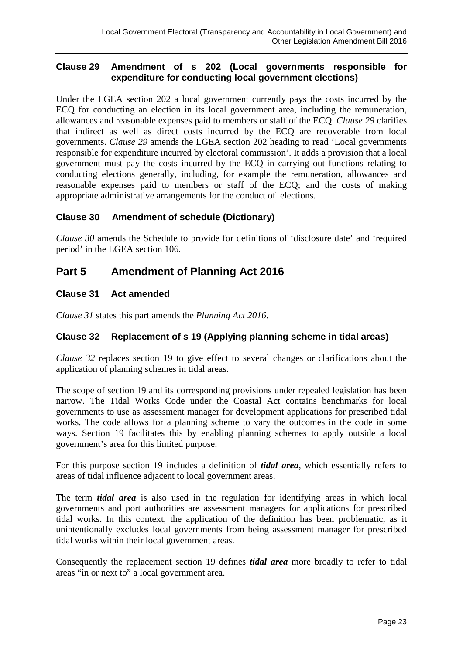#### **Clause 29 Amendment of s 202 (Local governments responsible for expenditure for conducting local government elections)**

Under the LGEA section 202 a local government currently pays the costs incurred by the ECQ for conducting an election in its local government area, including the remuneration, allowances and reasonable expenses paid to members or staff of the ECQ. *Clause 29* clarifies that indirect as well as direct costs incurred by the ECQ are recoverable from local governments. *Clause 29* amends the LGEA section 202 heading to read 'Local governments responsible for expenditure incurred by electoral commission'. It adds a provision that a local government must pay the costs incurred by the ECQ in carrying out functions relating to conducting elections generally, including, for example the remuneration, allowances and reasonable expenses paid to members or staff of the ECQ; and the costs of making appropriate administrative arrangements for the conduct of elections.

## **Clause 30 Amendment of schedule (Dictionary)**

*Clause 30* amends the Schedule to provide for definitions of 'disclosure date' and 'required period' in the LGEA section 106.

## **Part 5 Amendment of Planning Act 2016**

## **Clause 31 Act amended**

*Clause 31* states this part amends the *Planning Act 2016*.

#### **Clause 32 Replacement of s 19 (Applying planning scheme in tidal areas)**

*Clause 32* replaces section 19 to give effect to several changes or clarifications about the application of planning schemes in tidal areas.

The scope of section 19 and its corresponding provisions under repealed legislation has been narrow. The Tidal Works Code under the Coastal Act contains benchmarks for local governments to use as assessment manager for development applications for prescribed tidal works. The code allows for a planning scheme to vary the outcomes in the code in some ways. Section 19 facilitates this by enabling planning schemes to apply outside a local government's area for this limited purpose.

For this purpose section 19 includes a definition of *tidal area*, which essentially refers to areas of tidal influence adjacent to local government areas.

The term *tidal area* is also used in the regulation for identifying areas in which local governments and port authorities are assessment managers for applications for prescribed tidal works. In this context, the application of the definition has been problematic, as it unintentionally excludes local governments from being assessment manager for prescribed tidal works within their local government areas.

Consequently the replacement section 19 defines *tidal area* more broadly to refer to tidal areas "in or next to" a local government area.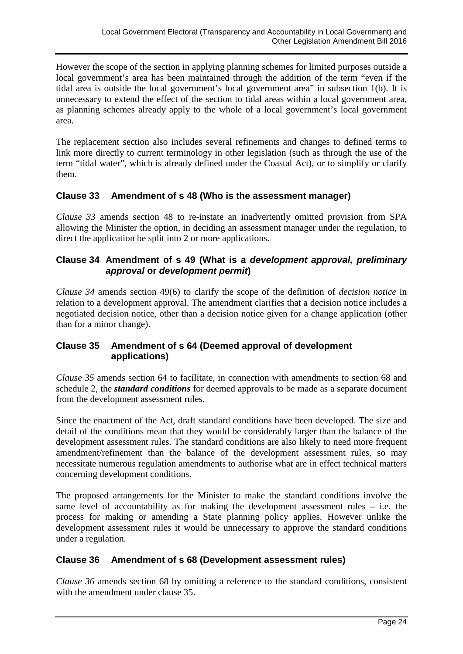However the scope of the section in applying planning schemes for limited purposes outside a local government's area has been maintained through the addition of the term "even if the tidal area is outside the local government's local government area" in subsection 1(b). It is unnecessary to extend the effect of the section to tidal areas within a local government area, as planning schemes already apply to the whole of a local government's local government area.

The replacement section also includes several refinements and changes to defined terms to link more directly to current terminology in other legislation (such as through the use of the term "tidal water", which is already defined under the Coastal Act), or to simplify or clarify them.

## **Clause 33 Amendment of s 48 (Who is the assessment manager)**

*Clause 33* amends section 48 to re-instate an inadvertently omitted provision from SPA allowing the Minister the option, in deciding an assessment manager under the regulation, to direct the application be split into 2 or more applications.

#### **Clause 34 Amendment of s 49 (What is a** *development approval, preliminary approval* **or** *development permit***)**

*Clause 34* amends section 49(6) to clarify the scope of the definition of *decision notice* in relation to a development approval. The amendment clarifies that a decision notice includes a negotiated decision notice, other than a decision notice given for a change application (other than for a minor change).

## **Clause 35 Amendment of s 64 (Deemed approval of development applications)**

*Clause 35* amends section 64 to facilitate, in connection with amendments to section 68 and schedule 2, the *standard conditions* for deemed approvals to be made as a separate document from the development assessment rules.

Since the enactment of the Act, draft standard conditions have been developed. The size and detail of the conditions mean that they would be considerably larger than the balance of the development assessment rules. The standard conditions are also likely to need more frequent amendment/refinement than the balance of the development assessment rules, so may necessitate numerous regulation amendments to authorise what are in effect technical matters concerning development conditions.

The proposed arrangements for the Minister to make the standard conditions involve the same level of accountability as for making the development assessment rules – i.e. the process for making or amending a State planning policy applies. However unlike the development assessment rules it would be unnecessary to approve the standard conditions under a regulation.

#### **Clause 36 Amendment of s 68 (Development assessment rules)**

*Clause 36* amends section 68 by omitting a reference to the standard conditions, consistent with the amendment under clause 35.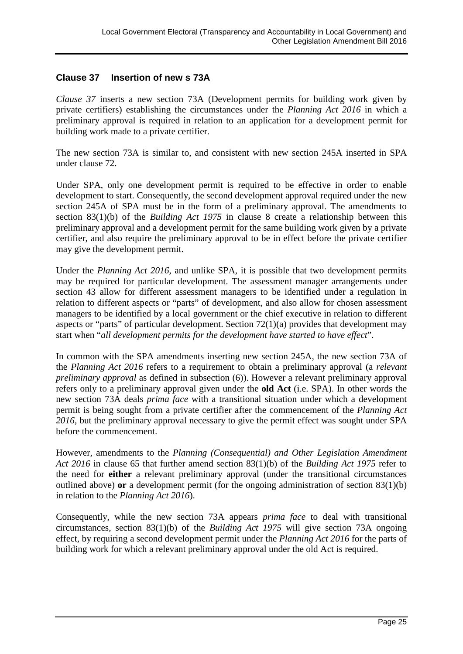#### **Clause 37 Insertion of new s 73A**

*Clause 37* inserts a new section 73A (Development permits for building work given by private certifiers) establishing the circumstances under the *Planning Act 2016* in which a preliminary approval is required in relation to an application for a development permit for building work made to a private certifier.

The new section 73A is similar to, and consistent with new section 245A inserted in SPA under clause 72.

Under SPA, only one development permit is required to be effective in order to enable development to start. Consequently, the second development approval required under the new section 245A of SPA must be in the form of a preliminary approval. The amendments to section 83(1)(b) of the *Building Act 1975* in clause 8 create a relationship between this preliminary approval and a development permit for the same building work given by a private certifier, and also require the preliminary approval to be in effect before the private certifier may give the development permit.

Under the *Planning Act 2016*, and unlike SPA, it is possible that two development permits may be required for particular development. The assessment manager arrangements under section 43 allow for different assessment managers to be identified under a regulation in relation to different aspects or "parts" of development, and also allow for chosen assessment managers to be identified by a local government or the chief executive in relation to different aspects or "parts" of particular development. Section  $72(1)(a)$  provides that development may start when "*all development permits for the development have started to have effect*".

In common with the SPA amendments inserting new section 245A, the new section 73A of the *Planning Act 2016* refers to a requirement to obtain a preliminary approval (a *relevant preliminary approval* as defined in subsection (6)). However a relevant preliminary approval refers only to a preliminary approval given under the **old Act** (i.e. SPA). In other words the new section 73A deals *prima face* with a transitional situation under which a development permit is being sought from a private certifier after the commencement of the *Planning Act 2016*, but the preliminary approval necessary to give the permit effect was sought under SPA before the commencement.

However, amendments to the *Planning (Consequential) and Other Legislation Amendment Act 2016* in clause 65 that further amend section 83(1)(b) of the *Building Act 1975* refer to the need for **either** a relevant preliminary approval (under the transitional circumstances outlined above) **or** a development permit (for the ongoing administration of section 83(1)(b) in relation to the *Planning Act 2016*).

Consequently, while the new section 73A appears *prima face* to deal with transitional circumstances, section 83(1)(b) of the *Building Act 1975* will give section 73A ongoing effect, by requiring a second development permit under the *Planning Act 2016* for the parts of building work for which a relevant preliminary approval under the old Act is required.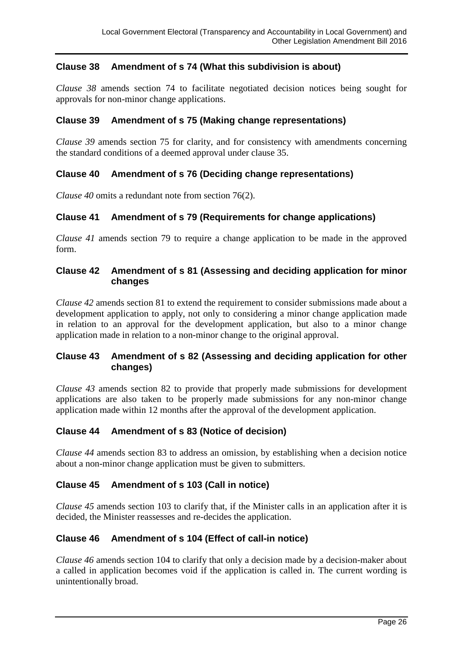## **Clause 38 Amendment of s 74 (What this subdivision is about)**

*Clause 38* amends section 74 to facilitate negotiated decision notices being sought for approvals for non-minor change applications.

#### **Clause 39 Amendment of s 75 (Making change representations)**

*Clause 39* amends section 75 for clarity, and for consistency with amendments concerning the standard conditions of a deemed approval under clause 35.

#### **Clause 40 Amendment of s 76 (Deciding change representations)**

*Clause 40* omits a redundant note from section 76(2).

#### **Clause 41 Amendment of s 79 (Requirements for change applications)**

*Clause 41* amends section 79 to require a change application to be made in the approved form.

#### **Clause 42 Amendment of s 81 (Assessing and deciding application for minor changes**

*Clause 42* amends section 81 to extend the requirement to consider submissions made about a development application to apply, not only to considering a minor change application made in relation to an approval for the development application, but also to a minor change application made in relation to a non-minor change to the original approval.

#### **Clause 43 Amendment of s 82 (Assessing and deciding application for other changes)**

*Clause 43* amends section 82 to provide that properly made submissions for development applications are also taken to be properly made submissions for any non-minor change application made within 12 months after the approval of the development application.

#### **Clause 44 Amendment of s 83 (Notice of decision)**

*Clause 44* amends section 83 to address an omission, by establishing when a decision notice about a non-minor change application must be given to submitters.

#### **Clause 45 Amendment of s 103 (Call in notice)**

*Clause 45* amends section 103 to clarify that, if the Minister calls in an application after it is decided, the Minister reassesses and re-decides the application.

#### **Clause 46 Amendment of s 104 (Effect of call-in notice)**

*Clause 46* amends section 104 to clarify that only a decision made by a decision-maker about a called in application becomes void if the application is called in. The current wording is unintentionally broad.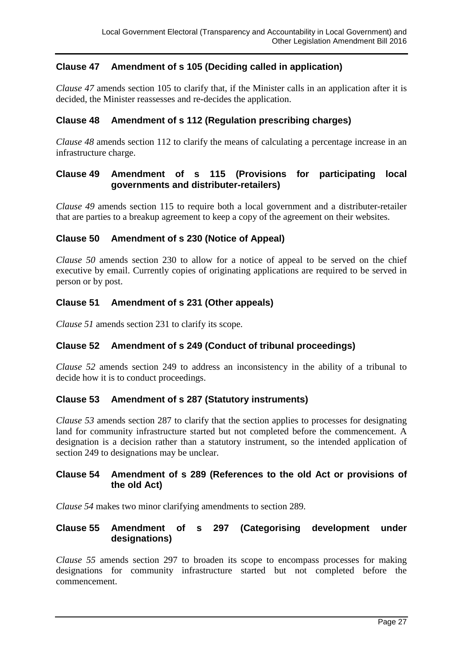## **Clause 47 Amendment of s 105 (Deciding called in application)**

*Clause 47* amends section 105 to clarify that, if the Minister calls in an application after it is decided, the Minister reassesses and re-decides the application.

## **Clause 48 Amendment of s 112 (Regulation prescribing charges)**

*Clause 48* amends section 112 to clarify the means of calculating a percentage increase in an infrastructure charge.

#### **Clause 49 Amendment of s 115 (Provisions for participating local governments and distributer-retailers)**

*Clause 49* amends section 115 to require both a local government and a distributer-retailer that are parties to a breakup agreement to keep a copy of the agreement on their websites.

#### **Clause 50 Amendment of s 230 (Notice of Appeal)**

*Clause 50* amends section 230 to allow for a notice of appeal to be served on the chief executive by email. Currently copies of originating applications are required to be served in person or by post.

#### **Clause 51 Amendment of s 231 (Other appeals)**

*Clause 51* amends section 231 to clarify its scope.

## **Clause 52 Amendment of s 249 (Conduct of tribunal proceedings)**

*Clause 52* amends section 249 to address an inconsistency in the ability of a tribunal to decide how it is to conduct proceedings.

#### **Clause 53 Amendment of s 287 (Statutory instruments)**

*Clause 53* amends section 287 to clarify that the section applies to processes for designating land for community infrastructure started but not completed before the commencement. A designation is a decision rather than a statutory instrument, so the intended application of section 249 to designations may be unclear.

#### **Clause 54 Amendment of s 289 (References to the old Act or provisions of the old Act)**

*Clause 54* makes two minor clarifying amendments to section 289.

#### **Clause 55 Amendment of s 297 (Categorising development under designations)**

*Clause 55* amends section 297 to broaden its scope to encompass processes for making designations for community infrastructure started but not completed before the commencement.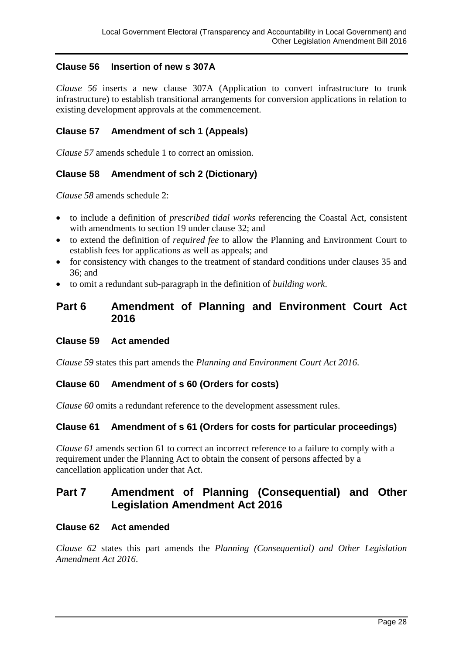## **Clause 56 Insertion of new s 307A**

*Clause 56* inserts a new clause 307A (Application to convert infrastructure to trunk infrastructure) to establish transitional arrangements for conversion applications in relation to existing development approvals at the commencement.

## **Clause 57 Amendment of sch 1 (Appeals)**

*Clause 57* amends schedule 1 to correct an omission.

## **Clause 58 Amendment of sch 2 (Dictionary)**

*Clause 58* amends schedule 2:

- to include a definition of *prescribed tidal works* referencing the Coastal Act, consistent with amendments to section 19 under clause 32; and
- to extend the definition of *required fee* to allow the Planning and Environment Court to establish fees for applications as well as appeals; and
- for consistency with changes to the treatment of standard conditions under clauses 35 and 36; and
- to omit a redundant sub-paragraph in the definition of *building work*.

## **Part 6 Amendment of Planning and Environment Court Act 2016**

#### **Clause 59 Act amended**

*Clause 59* states this part amends the *Planning and Environment Court Act 2016*.

#### **Clause 60 Amendment of s 60 (Orders for costs)**

*Clause 60* omits a redundant reference to the development assessment rules.

#### **Clause 61 Amendment of s 61 (Orders for costs for particular proceedings)**

*Clause 61* amends section 61 to correct an incorrect reference to a failure to comply with a requirement under the Planning Act to obtain the consent of persons affected by a cancellation application under that Act.

## **Part 7 Amendment of Planning (Consequential) and Other Legislation Amendment Act 2016**

#### **Clause 62 Act amended**

*Clause 62* states this part amends the *Planning (Consequential) and Other Legislation Amendment Act 2016*.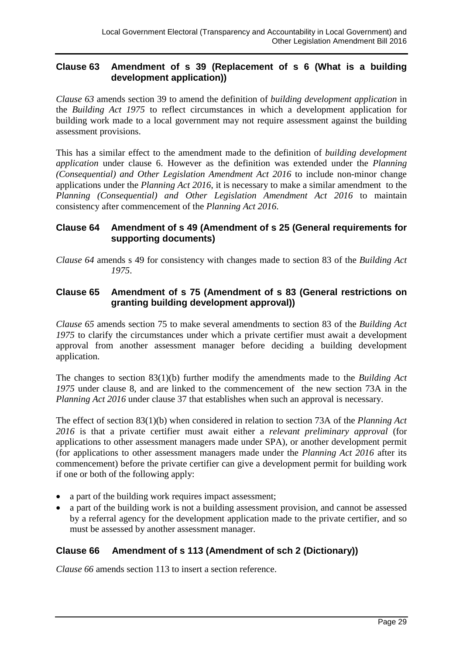#### **Clause 63 Amendment of s 39 (Replacement of s 6 (What is a building development application))**

*Clause 63* amends section 39 to amend the definition of *building development application* in the *Building Act 1975* to reflect circumstances in which a development application for building work made to a local government may not require assessment against the building assessment provisions.

This has a similar effect to the amendment made to the definition of *building development application* under clause 6. However as the definition was extended under the *Planning (Consequential) and Other Legislation Amendment Act 2016* to include non-minor change applications under the *Planning Act 2016*, it is necessary to make a similar amendment to the *Planning (Consequential) and Other Legislation Amendment Act 2016* to maintain consistency after commencement of the *Planning Act 2016*.

#### **Clause 64 Amendment of s 49 (Amendment of s 25 (General requirements for supporting documents)**

*Clause 64* amends s 49 for consistency with changes made to section 83 of the *Building Act 1975*.

## **Clause 65 Amendment of s 75 (Amendment of s 83 (General restrictions on granting building development approval))**

*Clause 65* amends section 75 to make several amendments to section 83 of the *Building Act 1975* to clarify the circumstances under which a private certifier must await a development approval from another assessment manager before deciding a building development application.

The changes to section 83(1)(b) further modify the amendments made to the *Building Act 1975* under clause 8, and are linked to the commencement of the new section 73A in the *Planning Act 2016* under clause 37 that establishes when such an approval is necessary.

The effect of section 83(1)(b) when considered in relation to section 73A of the *Planning Act 2016* is that a private certifier must await either a *relevant preliminary approval* (for applications to other assessment managers made under SPA), or another development permit (for applications to other assessment managers made under the *Planning Act 2016* after its commencement) before the private certifier can give a development permit for building work if one or both of the following apply:

- a part of the building work requires impact assessment;
- a part of the building work is not a building assessment provision, and cannot be assessed by a referral agency for the development application made to the private certifier, and so must be assessed by another assessment manager.

## **Clause 66 Amendment of s 113 (Amendment of sch 2 (Dictionary))**

*Clause 66* amends section 113 to insert a section reference.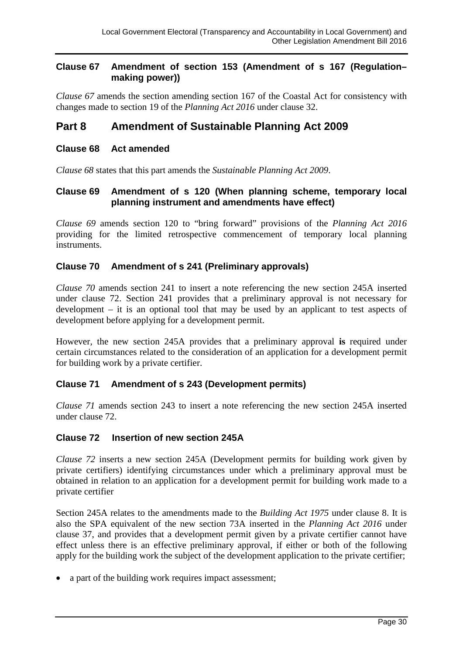#### **Clause 67 Amendment of section 153 (Amendment of s 167 (Regulation– making power))**

*Clause 67* amends the section amending section 167 of the Coastal Act for consistency with changes made to section 19 of the *Planning Act 2016* under clause 32.

## **Part 8 Amendment of Sustainable Planning Act 2009**

#### **Clause 68 Act amended**

*Clause 68* states that this part amends the *Sustainable Planning Act 2009*.

#### **Clause 69 Amendment of s 120 (When planning scheme, temporary local planning instrument and amendments have effect)**

*Clause 69* amends section 120 to "bring forward" provisions of the *Planning Act 2016* providing for the limited retrospective commencement of temporary local planning instruments.

#### **Clause 70 Amendment of s 241 (Preliminary approvals)**

*Clause 70* amends section 241 to insert a note referencing the new section 245A inserted under clause 72. Section 241 provides that a preliminary approval is not necessary for development – it is an optional tool that may be used by an applicant to test aspects of development before applying for a development permit.

However, the new section 245A provides that a preliminary approval **is** required under certain circumstances related to the consideration of an application for a development permit for building work by a private certifier.

#### **Clause 71 Amendment of s 243 (Development permits)**

*Clause 71* amends section 243 to insert a note referencing the new section 245A inserted under clause 72.

#### **Clause 72 Insertion of new section 245A**

*Clause 72* inserts a new section 245A (Development permits for building work given by private certifiers) identifying circumstances under which a preliminary approval must be obtained in relation to an application for a development permit for building work made to a private certifier

Section 245A relates to the amendments made to the *Building Act 1975* under clause 8. It is also the SPA equivalent of the new section 73A inserted in the *Planning Act 2016* under clause 37, and provides that a development permit given by a private certifier cannot have effect unless there is an effective preliminary approval, if either or both of the following apply for the building work the subject of the development application to the private certifier;

• a part of the building work requires impact assessment;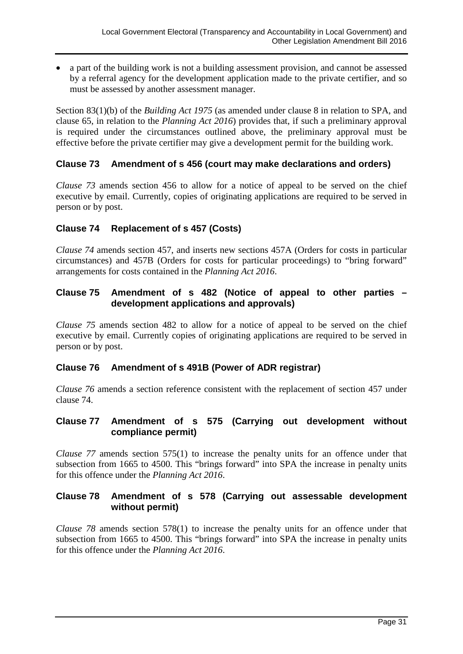• a part of the building work is not a building assessment provision, and cannot be assessed by a referral agency for the development application made to the private certifier, and so must be assessed by another assessment manager.

Section 83(1)(b) of the *Building Act 1975* (as amended under clause 8 in relation to SPA, and clause 65, in relation to the *Planning Act 2016*) provides that, if such a preliminary approval is required under the circumstances outlined above, the preliminary approval must be effective before the private certifier may give a development permit for the building work.

#### **Clause 73 Amendment of s 456 (court may make declarations and orders)**

*Clause 73* amends section 456 to allow for a notice of appeal to be served on the chief executive by email. Currently, copies of originating applications are required to be served in person or by post.

#### **Clause 74 Replacement of s 457 (Costs)**

*Clause 74* amends section 457, and inserts new sections 457A (Orders for costs in particular circumstances) and 457B (Orders for costs for particular proceedings) to "bring forward" arrangements for costs contained in the *Planning Act 2016*.

## **Clause 75 Amendment of s 482 (Notice of appeal to other parties – development applications and approvals)**

*Clause 75* amends section 482 to allow for a notice of appeal to be served on the chief executive by email. Currently copies of originating applications are required to be served in person or by post.

#### **Clause 76 Amendment of s 491B (Power of ADR registrar)**

*Clause 76* amends a section reference consistent with the replacement of section 457 under clause 74.

#### **Clause 77 Amendment of s 575 (Carrying out development without compliance permit)**

*Clause 77* amends section 575(1) to increase the penalty units for an offence under that subsection from 1665 to 4500. This "brings forward" into SPA the increase in penalty units for this offence under the *Planning Act 2016*.

#### **Clause 78 Amendment of s 578 (Carrying out assessable development without permit)**

*Clause 78* amends section 578(1) to increase the penalty units for an offence under that subsection from 1665 to 4500. This "brings forward" into SPA the increase in penalty units for this offence under the *Planning Act 2016*.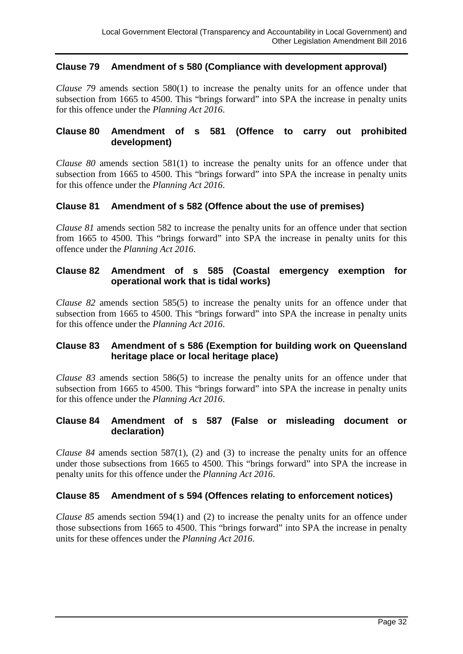## **Clause 79 Amendment of s 580 (Compliance with development approval)**

*Clause 79* amends section 580(1) to increase the penalty units for an offence under that subsection from 1665 to 4500. This "brings forward" into SPA the increase in penalty units for this offence under the *Planning Act 2016*.

#### **Clause 80 Amendment of s 581 (Offence to carry out prohibited development)**

*Clause 80* amends section 581(1) to increase the penalty units for an offence under that subsection from 1665 to 4500. This "brings forward" into SPA the increase in penalty units for this offence under the *Planning Act 2016*.

#### **Clause 81 Amendment of s 582 (Offence about the use of premises)**

*Clause 81* amends section 582 to increase the penalty units for an offence under that section from 1665 to 4500. This "brings forward" into SPA the increase in penalty units for this offence under the *Planning Act 2016*.

## **Clause 82 Amendment of s 585 (Coastal emergency exemption for operational work that is tidal works)**

*Clause 82* amends section 585(5) to increase the penalty units for an offence under that subsection from 1665 to 4500. This "brings forward" into SPA the increase in penalty units for this offence under the *Planning Act 2016*.

## **Clause 83 Amendment of s 586 (Exemption for building work on Queensland heritage place or local heritage place)**

*Clause 83* amends section 586(5) to increase the penalty units for an offence under that subsection from 1665 to 4500. This "brings forward" into SPA the increase in penalty units for this offence under the *Planning Act 2016*.

#### **Clause 84 Amendment of s 587 (False or misleading document or declaration)**

*Clause 84* amends section 587(1), (2) and (3) to increase the penalty units for an offence under those subsections from 1665 to 4500. This "brings forward" into SPA the increase in penalty units for this offence under the *Planning Act 2016*.

#### **Clause 85 Amendment of s 594 (Offences relating to enforcement notices)**

*Clause 85* amends section 594(1) and (2) to increase the penalty units for an offence under those subsections from 1665 to 4500. This "brings forward" into SPA the increase in penalty units for these offences under the *Planning Act 2016*.